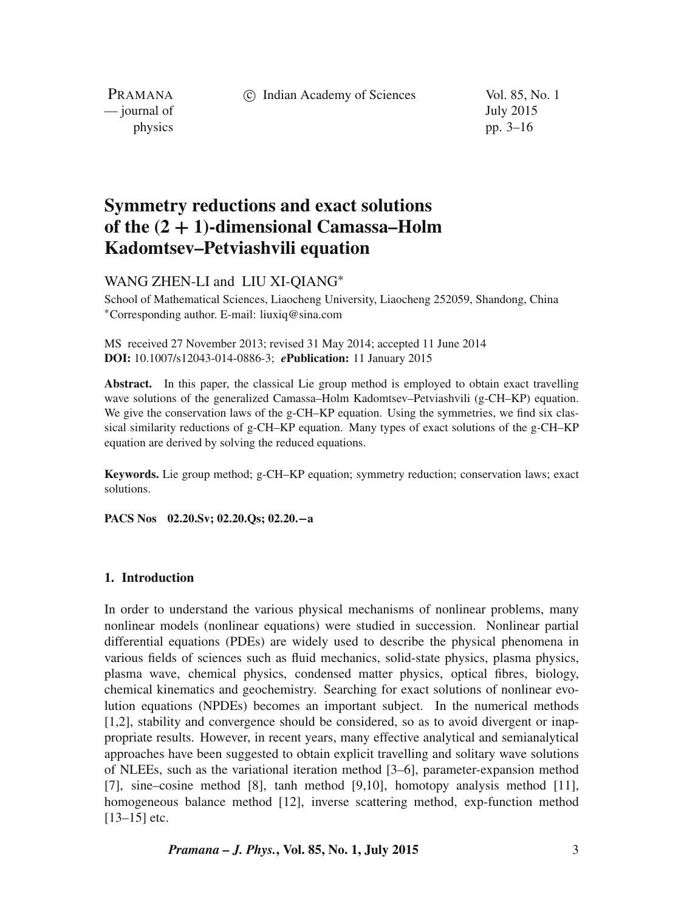c Indian Academy of Sciences Vol. 85, No. 1

PRAMANA — journal of July 2015

physics pp. 3–16

# **Symmetry reductions and exact solutions of the (2** + **1)-dimensional Camassa–Holm Kadomtsev–Petviashvili equation**

WANG ZHEN-LI and LIU XI-OIANG<sup>\*</sup>

School of Mathematical Sciences, Liaocheng University, Liaocheng 252059, Shandong, China <sup>∗</sup>Corresponding author. E-mail: liuxiq@sina.com

MS received 27 November 2013; revised 31 May 2014; accepted 11 June 2014 **DOI:** 10.1007/s12043-014-0886-3; *e***Publication:** 11 January 2015

**Abstract.** In this paper, the classical Lie group method is employed to obtain exact travelling wave solutions of the generalized Camassa–Holm Kadomtsev–Petviashvili (g-CH–KP) equation. We give the conservation laws of the g-CH–KP equation. Using the symmetries, we find six classical similarity reductions of g-CH–KP equation. Many types of exact solutions of the g-CH–KP equation are derived by solving the reduced equations.

**Keywords.** Lie group method; g-CH–KP equation; symmetry reduction; conservation laws; exact solutions.

**PACS Nos 02.20.Sv; 02.20.Qs; 02.20.**−**a**

#### **1. Introduction**

In order to understand the various physical mechanisms of nonlinear problems, many nonlinear models (nonlinear equations) were studied in succession. Nonlinear partial differential equations (PDEs) are widely used to describe the physical phenomena in various fields of sciences such as fluid mechanics, solid-state physics, plasma physics, plasma wave, chemical physics, condensed matter physics, optical fibres, biology, chemical kinematics and geochemistry. Searching for exact solutions of nonlinear evolution equations (NPDEs) becomes an important subject. In the numerical methods [1,2], stability and convergence should be considered, so as to avoid divergent or inappropriate results. However, in recent years, many effective analytical and semianalytical approaches have been suggested to obtain explicit travelling and solitary wave solutions of NLEEs, such as the variational iteration method [3–6], parameter-expansion method [7], sine–cosine method [8], tanh method [9,10], homotopy analysis method [11], homogeneous balance method [12], inverse scattering method, exp-function method [13–15] etc.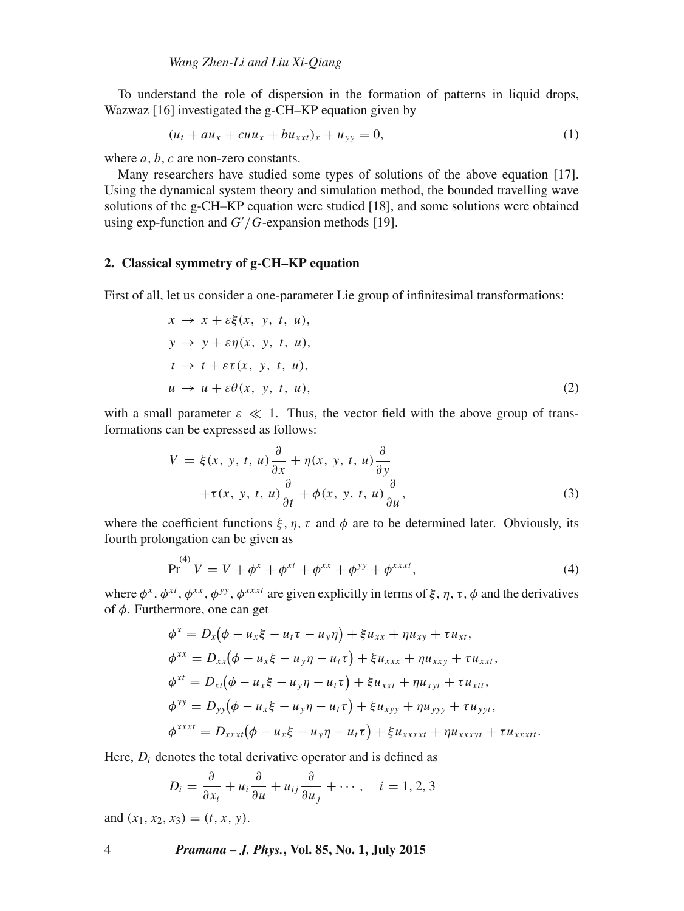To understand the role of dispersion in the formation of patterns in liquid drops, Wazwaz [16] investigated the g-CH–KP equation given by

$$
(u_t + au_x + cuu_x + bu_{xxt})_x + u_{yy} = 0,
$$
\n(1)

where  $a, b, c$  are non-zero constants.

Many researchers have studied some types of solutions of the above equation [17]. Using the dynamical system theory and simulation method, the bounded travelling wave solutions of the g-CH–KP equation were studied [18], and some solutions were obtained using exp-function and  $G'/G$ -expansion methods [19].

#### **2. Classical symmetry of g-CH–KP equation**

First of all, let us consider a one-parameter Lie group of infinitesimal transformations:

$$
x \to x + \varepsilon \xi(x, y, t, u),
$$
  
\n
$$
y \to y + \varepsilon \eta(x, y, t, u),
$$
  
\n
$$
t \to t + \varepsilon \tau(x, y, t, u),
$$
  
\n
$$
u \to u + \varepsilon \theta(x, y, t, u),
$$
  
\n(2)

with a small parameter  $\varepsilon \ll 1$ . Thus, the vector field with the above group of transformations can be expressed as follows:

$$
V = \xi(x, y, t, u) \frac{\partial}{\partial x} + \eta(x, y, t, u) \frac{\partial}{\partial y} + \tau(x, y, t, u) \frac{\partial}{\partial t} + \phi(x, y, t, u) \frac{\partial}{\partial u},
$$
(3)

where the coefficient functions  $\xi$ ,  $\eta$ ,  $\tau$  and  $\phi$  are to be determined later. Obviously, its fourth prolongation can be given as

$$
Pr(4) V = V + \phix + \phixt + \phixx + \phiyy + \phixxxx,
$$
 (4)

where  $\phi^x$ ,  $\phi^{xt}$ ,  $\phi^{xx}$ ,  $\phi^{yy}$ ,  $\phi^{xxxt}$  are given explicitly in terms of  $\xi$ ,  $\eta$ ,  $\tau$ ,  $\phi$  and the derivatives of  $\phi$ . Furthermore, one can get

$$
\phi^x = D_x(\phi - u_x \xi - u_t \tau - u_y \eta) + \xi u_{xx} + \eta u_{xy} + \tau u_{xt}, \n\phi^{xx} = D_{xx}(\phi - u_x \xi - u_y \eta - u_t \tau) + \xi u_{xxx} + \eta u_{xxy} + \tau u_{xxt}, \n\phi^{xt} = D_{xt}(\phi - u_x \xi - u_y \eta - u_t \tau) + \xi u_{xxt} + \eta u_{xyt} + \tau u_{xtt}, \n\phi^{yy} = D_{yy}(\phi - u_x \xi - u_y \eta - u_t \tau) + \xi u_{xyy} + \eta u_{yyy} + \tau u_{yyt}, \n\phi^{xxx} = D_{xxx}(\phi - u_x \xi - u_y \eta - u_t \tau) + \xi u_{xxxxt} + \eta u_{xxxyt} + \tau u_{xxxtt}.
$$

Here,  $D_i$  denotes the total derivative operator and is defined as

$$
D_i = \frac{\partial}{\partial x_i} + u_i \frac{\partial}{\partial u} + u_{ij} \frac{\partial}{\partial u_j} + \cdots, \quad i = 1, 2, 3
$$

and  $(x_1, x_2, x_3) = (t, x, y)$ .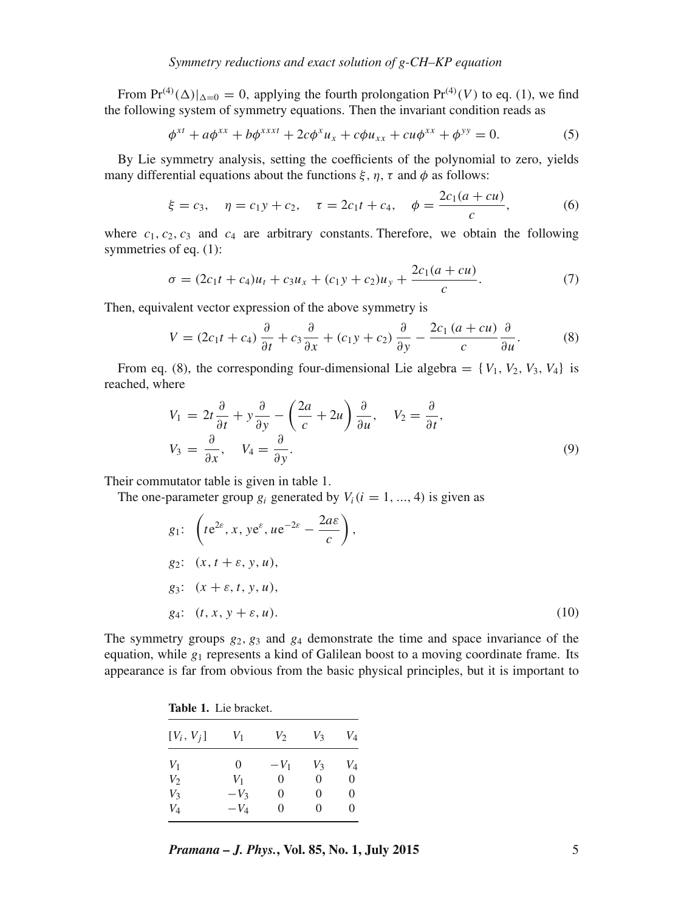From  $Pr^{(4)}(\Delta)|_{\Delta=0} = 0$ , applying the fourth prolongation  $Pr^{(4)}(V)$  to eq. (1), we find the following system of symmetry equations. Then the invariant condition reads as

$$
\phi^{xt} + a\phi^{xx} + b\phi^{xxt} + 2c\phi^{x}u_{x} + c\phi u_{xx} + cu\phi^{xx} + \phi^{yy} = 0.
$$
 (5)

By Lie symmetry analysis, setting the coefficients of the polynomial to zero, yields many differential equations about the functions  $\xi$ ,  $\eta$ ,  $\tau$  and  $\phi$  as follows:

$$
\xi = c_3, \quad \eta = c_1 y + c_2, \quad \tau = 2c_1 t + c_4, \quad \phi = \frac{2c_1 (a + cu)}{c},
$$
 (6)

where  $c_1, c_2, c_3$  and  $c_4$  are arbitrary constants. Therefore, we obtain the following symmetries of eq. (1):

$$
\sigma = (2c_1t + c_4)u_t + c_3u_x + (c_1y + c_2)u_y + \frac{2c_1(a+cu)}{c}.
$$
\n(7)

Then, equivalent vector expression of the above symmetry is

$$
V = (2c_1t + c_4)\frac{\partial}{\partial t} + c_3\frac{\partial}{\partial x} + (c_1y + c_2)\frac{\partial}{\partial y} - \frac{2c_1(a + cu)}{c}\frac{\partial}{\partial u}.
$$
 (8)

From eq. (8), the corresponding four-dimensional Lie algebra =  $\{V_1, V_2, V_3, V_4\}$  is reached, where

$$
V_1 = 2t \frac{\partial}{\partial t} + y \frac{\partial}{\partial y} - \left(\frac{2a}{c} + 2u\right) \frac{\partial}{\partial u}, \quad V_2 = \frac{\partial}{\partial t},
$$
  

$$
V_3 = \frac{\partial}{\partial x}, \quad V_4 = \frac{\partial}{\partial y}.
$$
 (9)

Their commutator table is given in table 1.

The one-parameter group  $g_i$  generated by  $V_i(i = 1, ..., 4)$  is given as

$$
g_1: \left(t e^{2\varepsilon}, x, y e^{\varepsilon}, u e^{-2\varepsilon} - \frac{2a\varepsilon}{c}\right),
$$
  
\n
$$
g_2: (x, t + \varepsilon, y, u),
$$
  
\n
$$
g_3: (x + \varepsilon, t, y, u),
$$
  
\n
$$
g_4: (t, x, y + \varepsilon, u).
$$
\n(10)

The symmetry groups  $g_2, g_3$  and  $g_4$  demonstrate the time and space invariance of the equation, while  $g_1$  represents a kind of Galilean boost to a moving coordinate frame. Its appearance is far from obvious from the basic physical principles, but it is important to

| <b>Table 1.</b> Lie bracket. |        |                   |          |                    |
|------------------------------|--------|-------------------|----------|--------------------|
| $[V_i, V_j]$                 | V1     | $V_2$             | V3       | V4                 |
| $V_1$                        | 0      | $-V_1$            | V2       | $\scriptstyle V_4$ |
| V2                           | $V_1$  | $\theta$          | $\theta$ | 0                  |
| V3                           | $-V_3$ | $\theta$          | $\theta$ | 0                  |
| $V_{\rm 4}$                  | $-V_4$ | $\mathbf{\Omega}$ | 0        | $\mathbf{\Omega}$  |

*Pramana – J. Phys.***, Vol. 85, No. 1, July 2015** 5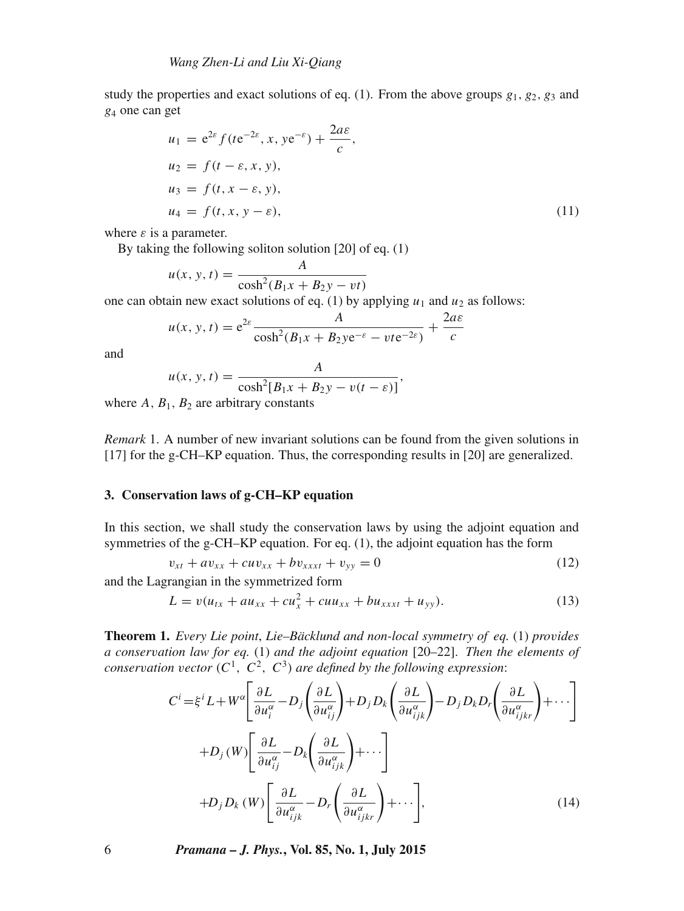study the properties and exact solutions of eq. (1). From the above groups  $g_1, g_2, g_3$  and g<sup>4</sup> one can get

$$
u_1 = e^{2\varepsilon} f(te^{-2\varepsilon}, x, ye^{-\varepsilon}) + \frac{2a\varepsilon}{c},
$$
  
\n
$$
u_2 = f(t - \varepsilon, x, y),
$$
  
\n
$$
u_3 = f(t, x - \varepsilon, y),
$$
  
\n
$$
u_4 = f(t, x, y - \varepsilon),
$$
\n(11)

where  $\varepsilon$  is a parameter.

By taking the following soliton solution [20] of eq. (1)

$$
u(x, y, t) = \frac{A}{\cosh^2(B_1x + B_2y - vt)}
$$

one can obtain new exact solutions of eq. (1) by applying  $u_1$  and  $u_2$  as follows:

$$
u(x, y, t) = e^{2\varepsilon} \frac{A}{\cosh^2(B_1x + B_2y e^{-\varepsilon} - v t e^{-2\varepsilon})} + \frac{2a\varepsilon}{c}
$$

and

$$
u(x, y, t) = \frac{A}{\cosh^2[B_1x + B_2y - v(t - \varepsilon)]},
$$

where  $A, B_1, B_2$  are arbitrary constants

*Remark* 1. A number of new invariant solutions can be found from the given solutions in [17] for the g-CH–KP equation. Thus, the corresponding results in [20] are generalized.

#### **3. Conservation laws of g-CH–KP equation**

In this section, we shall study the conservation laws by using the adjoint equation and symmetries of the g-CH–KP equation. For eq. (1), the adjoint equation has the form

$$
v_{xt} + av_{xx} + cuv_{xx} + bv_{xxxt} + v_{yy} = 0
$$
\n(12)

and the Lagrangian in the symmetrized form

$$
L = v(u_{tx} + au_{xx} + cu_x^2 + cuu_{xx} + bu_{xxx} + u_{yy}).
$$
\n(13)

**Theorem 1.** *Every Lie point*, *Lie–Bäcklund and non-local symmetry of eq.* (1) *pro*v*ides a conser*v*ation law for eq.* (1) *and the adjoint equation* [20–22]. *Then the elements of conservation vector*  $(C^1, C^2, C^3)$  *are defined by the following expression*:

$$
C^{i} = \xi^{i} L + W^{\alpha} \left[ \frac{\partial L}{\partial u_{i}^{\alpha}} - D_{j} \left( \frac{\partial L}{\partial u_{ij}^{\alpha}} \right) + D_{j} D_{k} \left( \frac{\partial L}{\partial u_{ijk}^{\alpha}} \right) - D_{j} D_{k} D_{r} \left( \frac{\partial L}{\partial u_{ijk}^{\alpha}} \right) + \cdots \right]
$$
  
+
$$
D_{j} (W) \left[ \frac{\partial L}{\partial u_{ij}^{\alpha}} - D_{k} \left( \frac{\partial L}{\partial u_{ijk}^{\alpha}} \right) + \cdots \right]
$$
  
+
$$
D_{j} D_{k} (W) \left[ \frac{\partial L}{\partial u_{ijk}^{\alpha}} - D_{r} \left( \frac{\partial L}{\partial u_{ijk}^{\alpha}} \right) + \cdots \right],
$$
(14)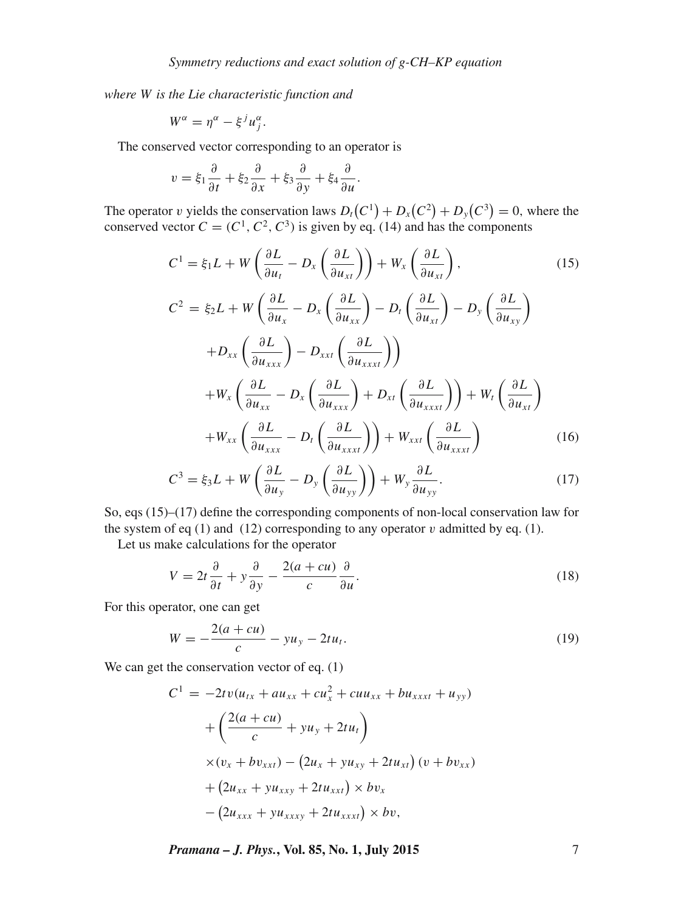*where* W *is the Lie characteristic function and*

$$
W^{\alpha} = \eta^{\alpha} - \xi^{j} u^{\alpha}_{j}.
$$

The conserved vector corresponding to an operator is

$$
v = \xi_1 \frac{\partial}{\partial t} + \xi_2 \frac{\partial}{\partial x} + \xi_3 \frac{\partial}{\partial y} + \xi_4 \frac{\partial}{\partial u}.
$$

The operator v yields the conservation laws  $D_t(C^1) + D_x(C^2) + D_y(C^3) = 0$ , where the conserved vector  $C = (C^1, C^2, C^3)$  is given by eq. (14) and has the components

$$
C^{1} = \xi_{1}L + W\left(\frac{\partial L}{\partial u_{t}} - D_{x}\left(\frac{\partial L}{\partial u_{xt}}\right)\right) + W_{x}\left(\frac{\partial L}{\partial u_{xt}}\right),
$$
(15)  

$$
C^{2} = \xi_{2}L + W\left(\frac{\partial L}{\partial u_{x}} - D_{x}\left(\frac{\partial L}{\partial u_{xx}}\right) - D_{t}\left(\frac{\partial L}{\partial u_{xt}}\right) - D_{y}\left(\frac{\partial L}{\partial u_{xy}}\right)
$$

$$
+ D_{xx}\left(\frac{\partial L}{\partial u_{xxx}}\right) - D_{xxt}\left(\frac{\partial L}{\partial u_{xxx}}\right))
$$

$$
+ W_{x}\left(\frac{\partial L}{\partial u_{xx}} - D_{x}\left(\frac{\partial L}{\partial u_{xxx}}\right) + D_{xt}\left(\frac{\partial L}{\partial u_{xxxt}}\right)\right) + W_{t}\left(\frac{\partial L}{\partial u_{xt}}\right)
$$

$$
+ W_{xx}\left(\frac{\partial L}{\partial u_{xxx}} - D_{t}\left(\frac{\partial L}{\partial u_{xxx}}\right)\right) + W_{xxt}\left(\frac{\partial L}{\partial u_{xxx}}\right)
$$
(16)

$$
C^{3} = \xi_{3}L + W\left(\frac{\partial L}{\partial u_{y}} - D_{y}\left(\frac{\partial L}{\partial u_{yy}}\right)\right) + W_{y}\frac{\partial L}{\partial u_{yy}}.\tag{17}
$$

So, eqs (15)–(17) define the corresponding components of non-local conservation law for the system of eq (1) and (12) corresponding to any operator  $v$  admitted by eq. (1).

Let us make calculations for the operator

$$
V = 2t\frac{\partial}{\partial t} + y\frac{\partial}{\partial y} - \frac{2(a+cu)}{c}\frac{\partial}{\partial u}.
$$
 (18)

For this operator, one can get

$$
W = -\frac{2(a+cu)}{c} - yu_y - 2tu_t.
$$
 (19)

We can get the conservation vector of eq.  $(1)$ 

$$
C^{1} = -2tv(u_{tx} + au_{xx} + cu_{x}^{2} + cuu_{xx} + bu_{xxx} + u_{yy})
$$
  
+  $\left(\frac{2(a+cu)}{c} + yu_{y} + 2tu_{t}\right)$   
 $\times (v_{x} + bv_{xxt}) - (2u_{x} + yu_{xy} + 2tu_{xt}) (v + bv_{xx})$   
+  $(2u_{xx} + yu_{xxy} + 2tu_{xxt}) \times bv_{x}$   
-  $(2u_{xxx} + yu_{xxxy} + 2tu_{xxxx}) \times bv_{x}$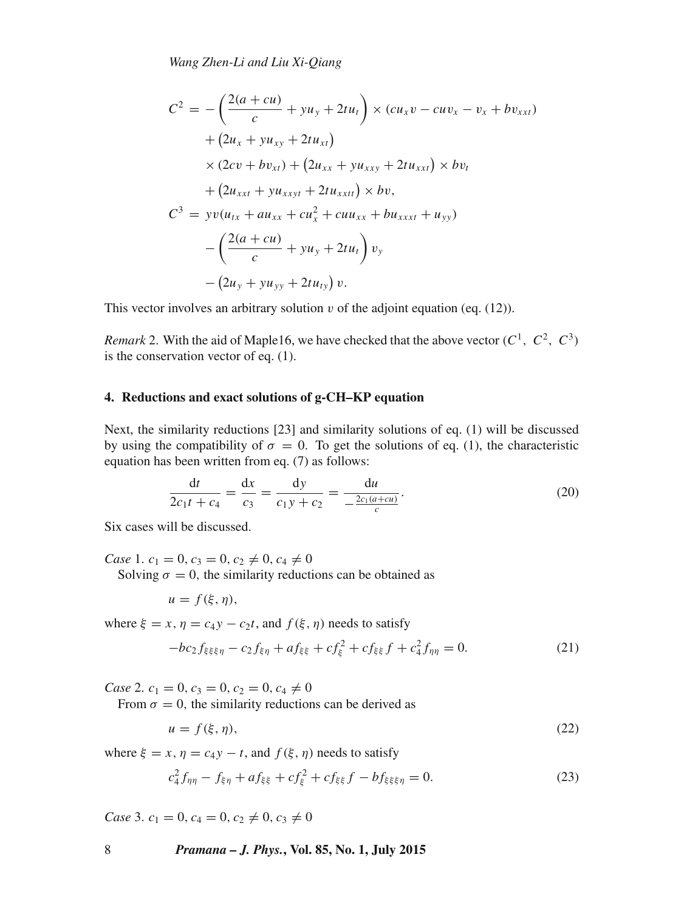*Wang Zhen-Li and Liu Xi-Qiang*

$$
C^{2} = -\left(\frac{2(a+cu)}{c} + yu_{y} + 2tu_{t}\right) \times (cu_{x}v - cuv_{x} - v_{x} + bv_{xxt})
$$
  
+  $(2u_{x} + yu_{xy} + 2tu_{xt})$   
 $\times (2cv + bv_{xt}) + (2u_{xx} + yu_{xxy} + 2tu_{xxt}) \times bv_{t}$   
+  $(2u_{xxt} + yu_{xxyt} + 2tu_{xxtt}) \times bv_{t}$   

$$
C^{3} = yv(u_{tx} + au_{xx} + cu_{x}^{2} + cuu_{xx} + bu_{xxtt} + u_{yy})
$$
  
-  $\left(\frac{2(a+cu)}{c} + yu_{y} + 2tu_{t}\right)v_{y}$   
-  $(2u_{y} + yu_{yy} + 2tu_{ty})v_{t}$ 

This vector involves an arbitrary solution  $v$  of the adjoint equation (eq. (12)).

*Remark* 2. With the aid of Maple16, we have checked that the above vector  $(C^1, C^2, C^3)$ is the conservation vector of eq. (1).

#### **4. Reductions and exact solutions of g-CH–KP equation**

Next, the similarity reductions [23] and similarity solutions of eq. (1) will be discussed by using the compatibility of  $\sigma = 0$ . To get the solutions of eq. (1), the characteristic equation has been written from eq. (7) as follows:

$$
\frac{dt}{2c_1t + c_4} = \frac{dx}{c_3} = \frac{dy}{c_1y + c_2} = \frac{du}{-\frac{2c_1(a + cu)}{c}}.
$$
\n(20)

Six cases will be discussed.

*Case* 1.  $c_1 = 0$ ,  $c_3 = 0$ ,  $c_2 \neq 0$ ,  $c_4 \neq 0$ 

Solving  $\sigma = 0$ , the similarity reductions can be obtained as

$$
u=f(\xi,\eta),
$$

where  $\xi = x, \eta = c_4y - c_2t$ , and  $f(\xi, \eta)$  needs to satisfy

$$
-bc_2 f_{\xi\xi\xi\eta} - c_2 f_{\xi\eta} + af_{\xi\xi} + cf_{\xi}^2 + cf_{\xi\xi} f + c_4^2 f_{\eta\eta} = 0.
$$
 (21)

*Case* 2.  $c_1 = 0$ ,  $c_3 = 0$ ,  $c_2 = 0$ ,  $c_4 \neq 0$ 

From  $\sigma = 0$ , the similarity reductions can be derived as

$$
u = f(\xi, \eta),\tag{22}
$$

where  $\xi = x, \eta = c_4y - t$ , and  $f(\xi, \eta)$  needs to satisfy

$$
c_4^2 f_{\eta\eta} - f_{\xi\eta} + af_{\xi\xi} + cf_{\xi}^2 + cf_{\xi\xi} f - bf_{\xi\xi\xi\eta} = 0.
$$
 (23)

*Case* 3.  $c_1 = 0$ ,  $c_4 = 0$ ,  $c_2 \neq 0$ ,  $c_3 \neq 0$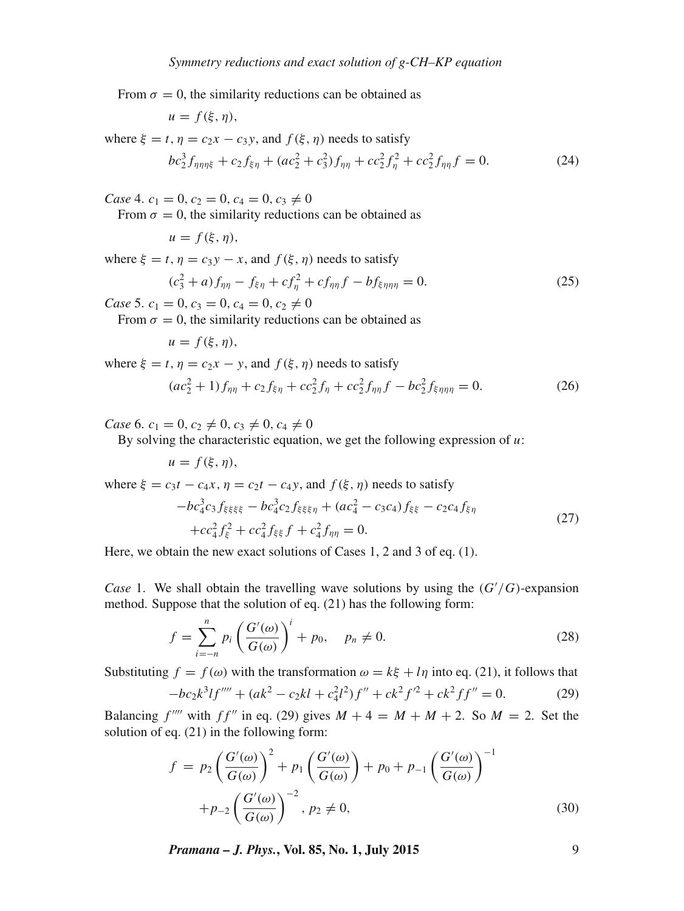From  $\sigma = 0$ , the similarity reductions can be obtained as

$$
u=f(\xi,\eta),
$$

where  $\xi = t$ ,  $\eta = c_2x - c_3y$ , and  $f(\xi, \eta)$  needs to satisfy

$$
bc_2^3 f_{\eta\eta\eta\xi} + c_2 f_{\xi\eta} + (ac_2^2 + c_3^2) f_{\eta\eta} + cc_2^2 f_{\eta}^2 + cc_2^2 f_{\eta\eta} f = 0.
$$
 (24)

*Case* 4.  $c_1 = 0, c_2 = 0, c_4 = 0, c_3 \neq 0$ 

From  $\sigma = 0$ , the similarity reductions can be obtained as

 $u = f(\xi, \eta),$ 

where  $\xi = t$ ,  $\eta = c_3y - x$ , and  $f(\xi, \eta)$  needs to satisfy

$$
(c_3^2 + a)f_{\eta\eta} - f_{\xi\eta} + cf_{\eta}^2 + cf_{\eta\eta}f - bf_{\xi\eta\eta\eta} = 0.
$$
 (25)

*Case* 5.  $c_1 = 0$ ,  $c_3 = 0$ ,  $c_4 = 0$ ,  $c_2 \neq 0$ 

From  $\sigma = 0$ , the similarity reductions can be obtained as

$$
u=f(\xi,\eta),
$$

where  $\xi = t$ ,  $\eta = c_2 x - y$ , and  $f(\xi, \eta)$  needs to satisfy

$$
(ac_2^2 + 1)f_{\eta\eta} + c_2f_{\xi\eta} + cc_2^2f_{\eta} + cc_2^2f_{\eta\eta}f - bc_2^2f_{\xi\eta\eta\eta} = 0.
$$
 (26)

*Case* 6.  $c_1 = 0, c_2 \neq 0, c_3 \neq 0, c_4 \neq 0$ 

By solving the characteristic equation, we get the following expression of  $u$ :

$$
u=f(\xi,\eta),
$$

where  $\xi = c_3t - c_4x$ ,  $\eta = c_2t - c_4y$ , and  $f(\xi, \eta)$  needs to satisfy

$$
-bc_4^3c_3f_{\xi\xi\xi\xi} - bc_4^3c_2f_{\xi\xi\xi\eta} + (ac_4^2 - c_3c_4)f_{\xi\xi} - c_2c_4f_{\xi\eta}
$$
  
+
$$
cc_4^2f_{\xi}^2 + cc_4^2f_{\xi\xi}f + c_4^2f_{\eta\eta} = 0.
$$
 (27)

Here, we obtain the new exact solutions of Cases 1, 2 and 3 of eq. (1).

*Case* 1. We shall obtain the travelling wave solutions by using the  $(G'/G)$ -expansion method. Suppose that the solution of eq. (21) has the following form:

$$
f = \sum_{i=-n}^{n} p_i \left( \frac{G'(\omega)}{G(\omega)} \right)^i + p_0, \quad p_n \neq 0.
$$
 (28)

Substituting  $f = f(\omega)$  with the transformation  $\omega = k\xi + l\eta$  into eq. (21), it follows that

$$
-bc_2k^3lf'''' + (ak^2 - c_2kl + c_4^2l^2)f'' + ck^2f'^2 + ck^2ff'' = 0.
$$
 (29)

Balancing  $f^{\prime\prime\prime\prime}$  with  $ff^{\prime\prime}$  in eq. (29) gives  $M + 4 = M + M + 2$ . So  $M = 2$ . Set the solution of eq. (21) in the following form:

$$
f = p_2 \left(\frac{G'(\omega)}{G(\omega)}\right)^2 + p_1 \left(\frac{G'(\omega)}{G(\omega)}\right) + p_0 + p_{-1} \left(\frac{G'(\omega)}{G(\omega)}\right)^{-1}
$$

$$
+ p_{-2} \left(\frac{G'(\omega)}{G(\omega)}\right)^{-2}, p_2 \neq 0,
$$
(30)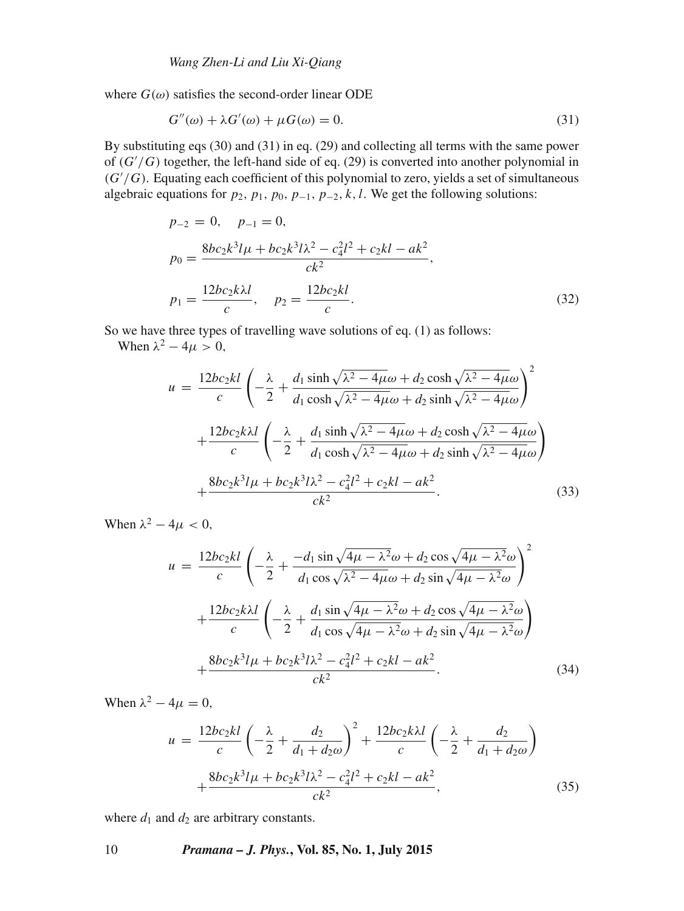where  $G(\omega)$  satisfies the second-order linear ODE

$$
G''(\omega) + \lambda G'(\omega) + \mu G(\omega) = 0.
$$
\n(31)

By substituting eqs (30) and (31) in eq. (29) and collecting all terms with the same power of (G′ /G) together, the left-hand side of eq. (29) is converted into another polynomial in  $(G'/G)$ . Equating each coefficient of this polynomial to zero, yields a set of simultaneous algebraic equations for  $p_2$ ,  $p_1$ ,  $p_0$ ,  $p_{-1}$ ,  $p_{-2}$ ,  $k$ ,  $l$ . We get the following solutions:

$$
p_{-2} = 0, \quad p_{-1} = 0,
$$
  
\n
$$
p_0 = \frac{8bc_2k^3l\mu + bc_2k^3l\lambda^2 - c_4^2l^2 + c_2kl - ak^2}{ck^2},
$$
  
\n
$$
p_1 = \frac{12bc_2k\lambda l}{c}, \quad p_2 = \frac{12bc_2kl}{c}.
$$
\n(32)

So we have three types of travelling wave solutions of eq. (1) as follows:

When  $\lambda^2 - 4\mu > 0$ ,

$$
u = \frac{12bc_2kl}{c} \left( -\frac{\lambda}{2} + \frac{d_1 \sinh \sqrt{\lambda^2 - 4\mu \omega} + d_2 \cosh \sqrt{\lambda^2 - 4\mu \omega}}{d_1 \cosh \sqrt{\lambda^2 - 4\mu \omega} + d_2 \sinh \sqrt{\lambda^2 - 4\mu \omega}} \right)^2
$$

$$
+ \frac{12bc_2k\lambda l}{c} \left( -\frac{\lambda}{2} + \frac{d_1 \sinh \sqrt{\lambda^2 - 4\mu \omega} + d_2 \cosh \sqrt{\lambda^2 - 4\mu \omega}}{d_1 \cosh \sqrt{\lambda^2 - 4\mu \omega} + d_2 \sinh \sqrt{\lambda^2 - 4\mu \omega}} \right)
$$

$$
+ \frac{8bc_2k^3l\mu + bc_2k^3l\lambda^2 - c_4^2l^2 + c_2kl - ak^2}{ck^2}.
$$
(33)

When  $\lambda^2 - 4\mu < 0$ ,

$$
u = \frac{12bc_2kl}{c} \left( -\frac{\lambda}{2} + \frac{-d_1 \sin \sqrt{4\mu - \lambda^2} \omega + d_2 \cos \sqrt{4\mu - \lambda^2} \omega}{d_1 \cos \sqrt{\lambda^2 - 4\mu} \omega + d_2 \sin \sqrt{4\mu - \lambda^2} \omega} \right)^2
$$
  
+ 
$$
\frac{12bc_2k\lambda l}{c} \left( -\frac{\lambda}{2} + \frac{d_1 \sin \sqrt{4\mu - \lambda^2} \omega + d_2 \cos \sqrt{4\mu - \lambda^2} \omega}{d_1 \cos \sqrt{4\mu - \lambda^2} \omega + d_2 \sin \sqrt{4\mu - \lambda^2} \omega} \right)
$$
  
+ 
$$
\frac{8bc_2k^3l\mu + bc_2k^3l\lambda^2 - c_4^2l^2 + c_2kl - ak^2}{ck^2}.
$$
(34)

When  $\lambda^2 - 4\mu = 0$ ,

$$
u = \frac{12bc_2kl}{c} \left( -\frac{\lambda}{2} + \frac{d_2}{d_1 + d_2 \omega} \right)^2 + \frac{12bc_2k\lambda l}{c} \left( -\frac{\lambda}{2} + \frac{d_2}{d_1 + d_2 \omega} \right)
$$

$$
+ \frac{8bc_2k^3l\mu + bc_2k^3l\lambda^2 - c_4^2l^2 + c_2kl - ak^2}{ck^2},
$$
(35)

where  $d_1$  and  $d_2$  are arbitrary constants.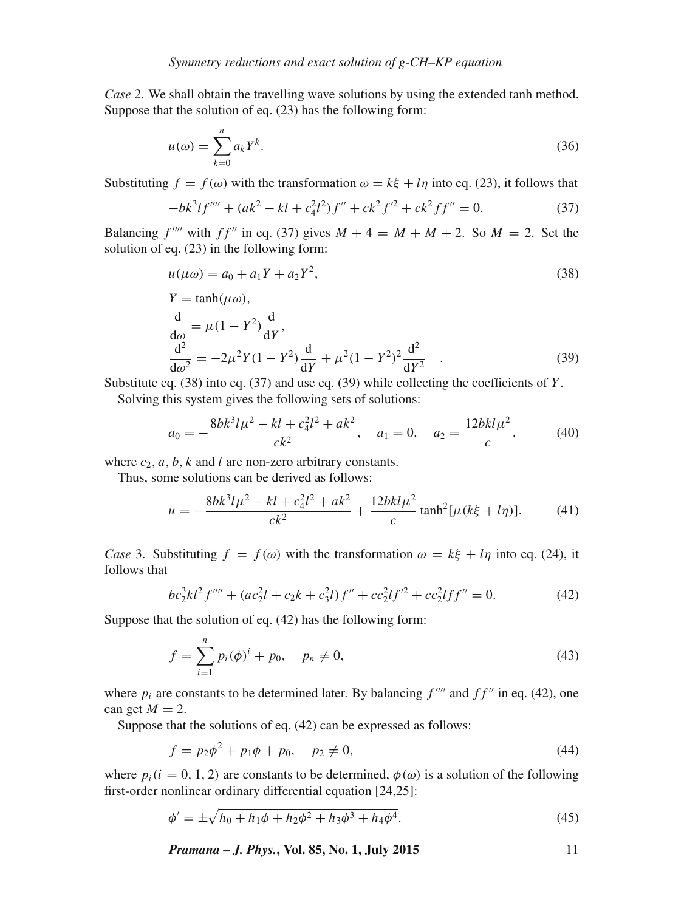*Case* 2. We shall obtain the travelling wave solutions by using the extended tanh method. Suppose that the solution of eq. (23) has the following form:

$$
u(\omega) = \sum_{k=0}^{n} a_k Y^k.
$$
\n(36)

Substituting  $f = f(\omega)$  with the transformation  $\omega = k\xi + l\eta$  into eq. (23), it follows that

$$
-bk^{3}lf'''' + (ak^{2} - kl + c_{4}^{2}l^{2})f'' + ck^{2}f'^{2} + ck^{2}ff'' = 0.
$$
 (37)

Balancing  $f^{\prime\prime\prime\prime}$  with  $ff^{\prime\prime}$  in eq. (37) gives  $M + 4 = M + M + 2$ . So  $M = 2$ . Set the solution of eq. (23) in the following form:

$$
u(\mu \omega) = a_0 + a_1 Y + a_2 Y^2,
$$
\n(38)

$$
Y = \tanh(\mu \omega),
$$
  
\n
$$
\frac{d}{d\omega} = \mu (1 - Y^2) \frac{d}{dY},
$$
  
\n
$$
\frac{d^2}{d\omega^2} = -2\mu^2 Y (1 - Y^2) \frac{d}{dY} + \mu^2 (1 - Y^2)^2 \frac{d^2}{dY^2}.
$$
\n(39)

Substitute eq.  $(38)$  into eq.  $(37)$  and use eq.  $(39)$  while collecting the coefficients of Y.

Solving this system gives the following sets of solutions:

$$
a_0 = -\frac{8bk^3l\mu^2 - kl + c_4^2l^2 + ak^2}{ck^2}, \quad a_1 = 0, \quad a_2 = \frac{12bkl\mu^2}{c}, \tag{40}
$$

where  $c_2$ ,  $a$ ,  $b$ ,  $k$  and  $l$  are non-zero arbitrary constants.

Thus, some solutions can be derived as follows:

$$
u = -\frac{8bk^3l\mu^2 - kl + c_4^2l^2 + ak^2}{ck^2} + \frac{12bkl\mu^2}{c}\tanh^2[\mu(k\xi + l\eta)].\tag{41}
$$

*Case* 3. Substituting  $f = f(\omega)$  with the transformation  $\omega = k\xi + l\eta$  into eq. (24), it follows that

$$
bc_2^3kl^2f'''' + (ac_2^2l + c_2k + c_3^2l)f'' + cc_2^2lf'^2 + cc_2^2lff'' = 0.
$$
 (42)

Suppose that the solution of eq. (42) has the following form:

$$
f = \sum_{i=1}^{n} p_i (\phi)^i + p_0, \quad p_n \neq 0,
$$
\n(43)

where  $p_i$  are constants to be determined later. By balancing  $f^{\prime\prime\prime}$  and  $ff^{\prime\prime}$  in eq. (42), one can get  $M = 2$ .

Suppose that the solutions of eq. (42) can be expressed as follows:

$$
f = p_2 \phi^2 + p_1 \phi + p_0, \quad p_2 \neq 0,
$$
\n(44)

where  $p_i$  (i = 0, 1, 2) are constants to be determined,  $\phi(\omega)$  is a solution of the following first-order nonlinear ordinary differential equation [24,25]:

$$
\phi' = \pm \sqrt{h_0 + h_1 \phi + h_2 \phi^2 + h_3 \phi^3 + h_4 \phi^4}.
$$
\n(45)

*Pramana – J. Phys.***, Vol. 85, No. 1, July 2015** 11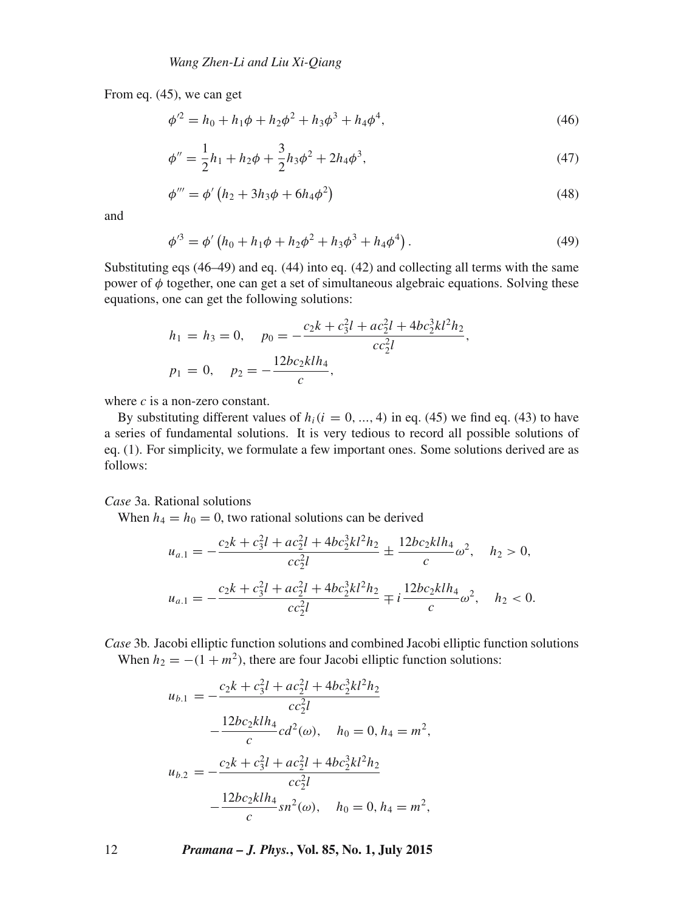From eq. (45), we can get

$$
\phi'^2 = h_0 + h_1 \phi + h_2 \phi^2 + h_3 \phi^3 + h_4 \phi^4,\tag{46}
$$

$$
\phi'' = \frac{1}{2}h_1 + h_2\phi + \frac{3}{2}h_3\phi^2 + 2h_4\phi^3,\tag{47}
$$

$$
\phi''' = \phi' (h_2 + 3h_3\phi + 6h_4\phi^2)
$$
\n(48)

and

$$
\phi'^3 = \phi' \left( h_0 + h_1 \phi + h_2 \phi^2 + h_3 \phi^3 + h_4 \phi^4 \right). \tag{49}
$$

Substituting eqs (46–49) and eq. (44) into eq. (42) and collecting all terms with the same power of  $\phi$  together, one can get a set of simultaneous algebraic equations. Solving these equations, one can get the following solutions:

$$
h_1 = h_3 = 0, \quad p_0 = -\frac{c_2 k + c_3^2 l + ac_2^2 l + 4bc_2^3 k l^2 h_2}{cc_2^2 l},
$$
  

$$
p_1 = 0, \quad p_2 = -\frac{12bc_2 klh_4}{c},
$$

where  $c$  is a non-zero constant.

By substituting different values of  $h_i(i = 0, ..., 4)$  in eq. (45) we find eq. (43) to have a series of fundamental solutions. It is very tedious to record all possible solutions of eq. (1). For simplicity, we formulate a few important ones. Some solutions derived are as follows:

*Case* 3a. Rational solutions

When  $h_4 = h_0 = 0$ , two rational solutions can be derived

$$
u_{a.1} = -\frac{c_2k + c_3^2l + ac_2^2l + 4bc_2^3kl^2h_2}{cc_2^2l} \pm \frac{12bc_2klh_4}{c}\omega^2, \quad h_2 > 0,
$$
  

$$
u_{a.1} = -\frac{c_2k + c_3^2l + ac_2^2l + 4bc_2^3kl^2h_2}{cc_2^2l} \mp i\frac{12bc_2klh_4}{c}\omega^2, \quad h_2 < 0.
$$

*Case* 3b. Jacobi elliptic function solutions and combined Jacobi elliptic function solutions When  $h_2 = -(1 + m^2)$ , there are four Jacobi elliptic function solutions:

$$
u_{b,1} = -\frac{c_2k + c_3^2l + ac_2^2l + 4bc_2^3k^2h_2}{cc_2^2l}
$$
  

$$
-\frac{12bc_2klh_4}{c}cd^2(\omega), \quad h_0 = 0, h_4 = m^2,
$$
  

$$
u_{b,2} = -\frac{c_2k + c_3^2l + ac_2^2l + 4bc_2^3k^2h_2}{cc_2^2l}
$$
  

$$
-\frac{12bc_2klh_4}{c}sn^2(\omega), \quad h_0 = 0, h_4 = m^2,
$$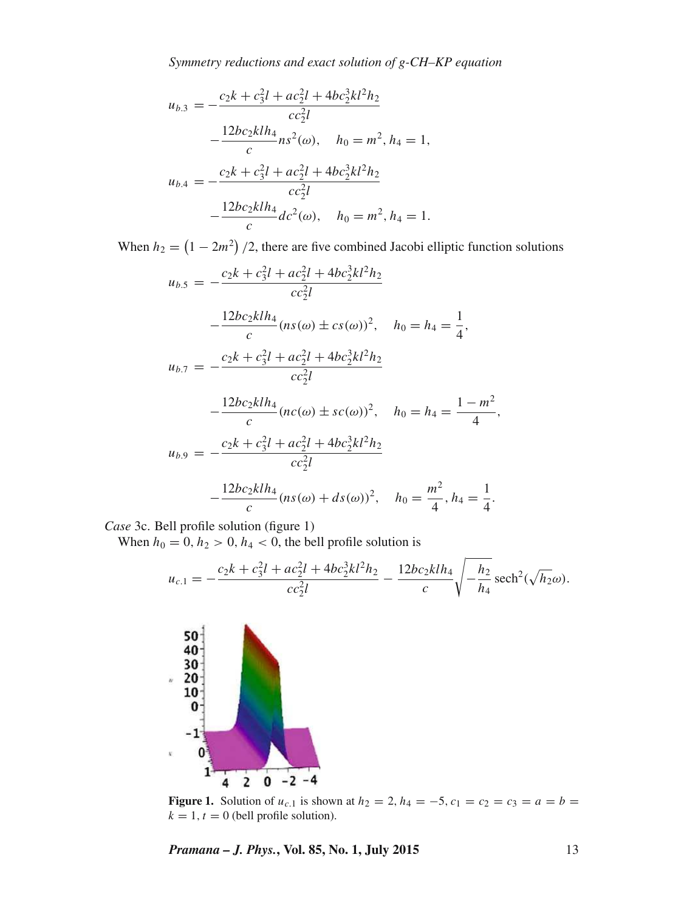*Symmetry reductions and exact solution of g-CH–KP equation*

$$
u_{b,3} = -\frac{c_2k + c_3^2l + ac_2^2l + 4bc_2^3k^2h_2}{cc_2^2l}
$$
  

$$
-\frac{12bc_2klh_4}{c}ns^2(\omega), \quad h_0 = m^2, h_4 = 1,
$$
  

$$
u_{b,4} = -\frac{c_2k + c_3^2l + ac_2^2l + 4bc_2^3k^2h_2}{cc_2^2l}
$$
  

$$
-\frac{12bc_2klh_4}{c}dc^2(\omega), \quad h_0 = m^2, h_4 = 1.
$$

When  $h_2 = (1 - 2m^2)/2$ , there are five combined Jacobi elliptic function solutions

$$
u_{b.5} = -\frac{c_2 k + c_3^2 l + ac_2^2 l + 4bc_2^3 k l^2 h_2}{cc_2^2 l}
$$
  

$$
-\frac{12bc_2 k l h_4}{c} (ns(\omega) \pm cs(\omega))^2, \quad h_0 = h_4 = \frac{1}{4},
$$
  

$$
u_{b.7} = -\frac{c_2 k + c_3^2 l + ac_2^2 l + 4bc_2^3 k l^2 h_2}{cc_2^2 l}
$$
  

$$
-\frac{12bc_2 k l h_4}{c} (nc(\omega) \pm sc(\omega))^2, \quad h_0 = h_4 = \frac{1 - m^2}{4},
$$

$$
u_{b.9} = -\frac{c_2 k + c_3^2 l + ac_2^2 l + 4bc_2^3 k l^2 h_2}{cc_2^2 l}
$$

$$
-\frac{12bc_2 k l h_4}{c} (ns(\omega) + ds(\omega))^2, \quad h_0 = \frac{m^2}{4}, h_4 = \frac{1}{4}.
$$

*Case* 3c. Bell profile solution (figure 1)

When  $h_0 = 0$ ,  $h_2 > 0$ ,  $h_4 < 0$ , the bell profile solution is

$$
u_{c,1} = -\frac{c_2k + c_3^2l + ac_2^2l + 4bc_2^3kl^2h_2}{cc_2^2l} - \frac{12bc_2klh_4}{c}\sqrt{-\frac{h_2}{h_4}\mathrm{sech}^2(\sqrt{h_2}\omega)}.
$$



**Figure 1.** Solution of  $u_{c,1}$  is shown at  $h_2 = 2$ ,  $h_4 = -5$ ,  $c_1 = c_2 = c_3 = a = b$  $k = 1, t = 0$  (bell profile solution).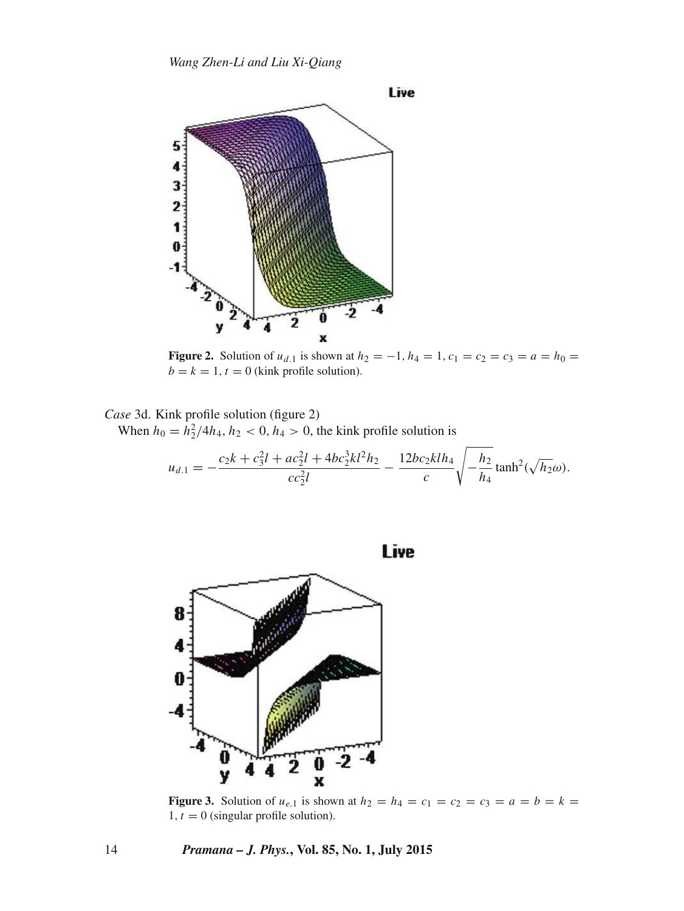

**Figure 2.** Solution of  $u_{d,1}$  is shown at  $h_2 = -1$ ,  $h_4 = 1$ ,  $c_1 = c_2 = c_3 = a = h_0 =$  $b = k = 1, t = 0$  (kink profile solution).

*Case* 3d. Kink profile solution (figure 2) When  $h_0 = h_2^2/4h_4$ ,  $h_2 < 0$ ,  $h_4 > 0$ , the kink profile solution is

$$
u_{d.1} = -\frac{c_2 k + c_3^2 l + ac_2^2 l + 4bc_2^3 k l^2 h_2}{cc_2^2 l} - \frac{12bc_2 k l h_4}{c} \sqrt{-\frac{h_2}{h_4} \tanh^2(\sqrt{h_2} \omega)}.
$$





**Figure 3.** Solution of  $u_{e,1}$  is shown at  $h_2 = h_4 = c_1 = c_2 = c_3 = a = b = k$ 1,  $t = 0$  (singular profile solution).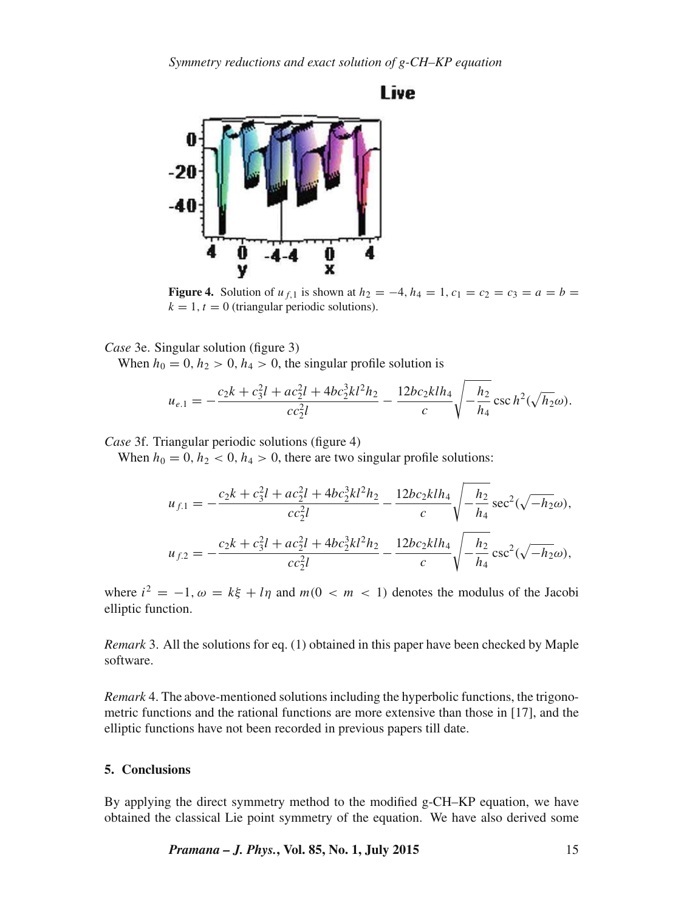## Live



**Figure 4.** Solution of  $u_{f,1}$  is shown at  $h_2 = -4$ ,  $h_4 = 1$ ,  $c_1 = c_2 = c_3 = a = b$  $k = 1, t = 0$  (triangular periodic solutions).

*Case* 3e. Singular solution (figure 3)

When  $h_0 = 0$ ,  $h_2 > 0$ ,  $h_4 > 0$ , the singular profile solution is

$$
u_{e,1} = -\frac{c_2k + c_3^2l + ac_2^2l + 4bc_2^3kl^2h_2}{cc_2^2l} - \frac{12bc_2klh_4}{c}\sqrt{-\frac{h_2}{h_4}\csc h^2(\sqrt{h_2}\omega)}.
$$

*Case* 3f. Triangular periodic solutions (figure 4)

When  $h_0 = 0$ ,  $h_2 < 0$ ,  $h_4 > 0$ , there are two singular profile solutions:

$$
u_{f,1} = -\frac{c_2k + c_3^2l + ac_2^2l + 4bc_2^3kl^2h_2}{cc_2^2l} - \frac{12bc_2klh_4}{c}\sqrt{-\frac{h_2}{h_4}}\sec^2(\sqrt{-h_2}\omega),
$$
  

$$
u_{f,2} = -\frac{c_2k + c_3^2l + ac_2^2l + 4bc_2^3kl^2h_2}{cc_2^2l} - \frac{12bc_2klh_4}{c}\sqrt{-\frac{h_2}{h_4}}\csc^2(\sqrt{-h_2}\omega),
$$

where  $i^2 = -1$ ,  $\omega = k\xi + l\eta$  and  $m(0 < m < 1)$  denotes the modulus of the Jacobi elliptic function.

*Remark* 3. All the solutions for eq. (1) obtained in this paper have been checked by Maple software.

*Remark* 4. The above-mentioned solutions including the hyperbolic functions, the trigonometric functions and the rational functions are more extensive than those in [17], and the elliptic functions have not been recorded in previous papers till date.

### **5. Conclusions**

By applying the direct symmetry method to the modified g-CH–KP equation, we have obtained the classical Lie point symmetry of the equation. We have also derived some